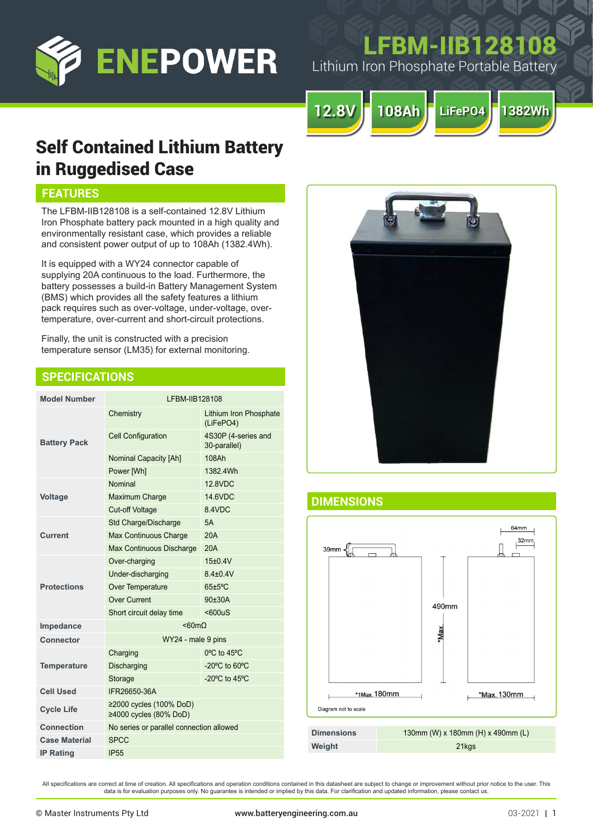

# **FBM-IIB1281**

Lithium Iron Phosphate Portable Battery



# Self Contained Lithium Battery in Ruggedised Case

# **FEATURES**

The LFBM-IIB128108 is a self-contained 12.8V Lithium Iron Phosphate battery pack mounted in a high quality and environmentally resistant case, which provides a reliable and consistent power output of up to 108Ah (1382.4Wh).

It is equipped with a WY24 connector capable of supplying 20A continuous to the load. Furthermore, the battery possesses a build-in Battery Management System (BMS) which provides all the safety features a lithium pack requires such as over-voltage, under-voltage, overtemperature, over-current and short-circuit protections.

Finally, the unit is constructed with a precision temperature sensor (LM35) for external monitoring.

# **SPECIFICATIONS**

| <b>Model Number</b>  | LFBM-IIB128108                                          |                                     |
|----------------------|---------------------------------------------------------|-------------------------------------|
| <b>Battery Pack</b>  | Chemistry                                               | Lithium Iron Phosphate<br>(LiFePO4) |
|                      | <b>Cell Configuration</b>                               | 4S30P (4-series and<br>30-parallel) |
|                      | <b>Nominal Capacity [Ah]</b>                            | 108Ah                               |
|                      | Power [Wh]                                              | 1382.4Wh                            |
| <b>Voltage</b>       | Nominal                                                 | 12 8VDC                             |
|                      | Maximum Charge                                          | 14.6VDC                             |
|                      | <b>Cut-off Voltage</b>                                  | 8.4VDC                              |
| <b>Current</b>       | Std Charge/Discharge                                    | 5A                                  |
|                      | Max Continuous Charge                                   | 20A                                 |
|                      | Max Continuous Discharge                                | 20A                                 |
| <b>Protections</b>   | Over-charging                                           | $15+0.4V$                           |
|                      | Under-discharging                                       | $8.4 + 0.4V$                        |
|                      | Over Temperature                                        | 65±5°C                              |
|                      | Over Current                                            | 90±30A                              |
|                      | Short circuit delay time                                | $600uS$                             |
| Impedance            | $< 60 m\Omega$                                          |                                     |
| <b>Connector</b>     | WY24 - male 9 pins                                      |                                     |
| <b>Temperature</b>   | Charging                                                | 0°C to 45°C                         |
|                      | Discharging                                             | -20 $^{\circ}$ C to 60 $^{\circ}$ C |
|                      | Storage                                                 | -20 $^{\circ}$ C to 45 $^{\circ}$ C |
| <b>Cell Used</b>     | IFR26650-36A                                            |                                     |
| <b>Cycle Life</b>    | ≥2000 cycles (100% DoD)<br>$\geq$ 4000 cycles (80% DoD) |                                     |
| Connection           | No series or parallel connection allowed                |                                     |
| <b>Case Material</b> | <b>SPCC</b>                                             |                                     |
| <b>IP Rating</b>     | <b>IP55</b>                                             |                                     |



# **DIMENSIONS**



All specifications are correct at time of creation. All specifications and operation conditions contained in this datasheet are subject to change or improvement without prior notice to the user. This data is for evaluation purposes only. No guarantee is intended or implied by this data. For clarification and updated information, please contact us.